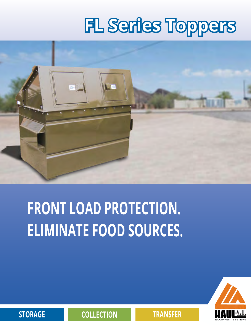# **FL Series Toppers**



# **FRONT LOAD PROTECTION. ELIMINATE FOOD SOURCES.**



**STORAGE COLLECTION TRANSFER**